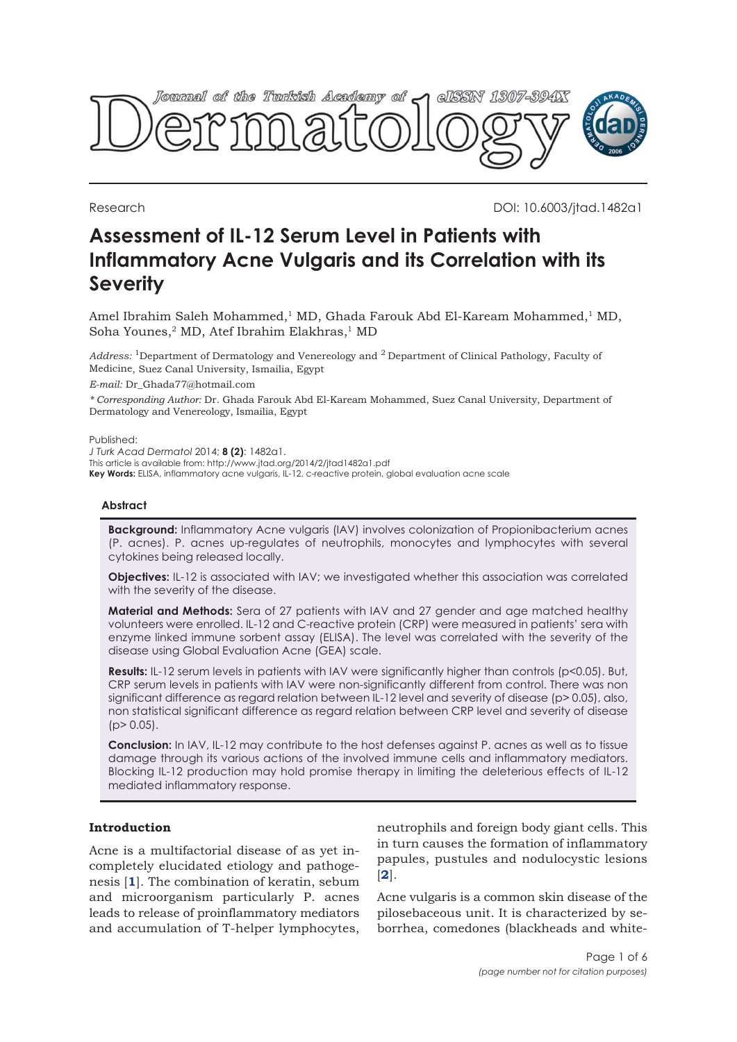

Research DOI: 10.6003/jtad.1482a1

# **Assessment of IL-12 Serum Level in Patients with Inflammatory Acne Vulgaris and its Correlation with its Severity**

Amel Ibrahim Saleh Mohammed,<sup>1</sup> MD, Ghada Farouk Abd El-Kaream Mohammed,<sup>1</sup> MD, Soha Younes,<sup>2</sup> MD, Atef Ibrahim Elakhras,<sup>1</sup> MD

*Address:* 1Department of Dermatology and Venereology and 2 Department of Clinical Pathology, Faculty of Medicine, Suez Canal University, Ismailia, Egypt

*E-mail:* Dr\_Ghada77@hotmail.com

*\* Corresponding Author:* Dr. Ghada Farouk Abd El-Kaream Mohammed, Suez Canal University, Department of Dermatology and Venereology, Ismailia, Egypt

Published:

*J Turk Acad Dermatol* 2014; **8 (2)**: 1482a1.

This article is available from: http://www.jtad.org/2014/2/jtad1482a1.pdf

**Key Words:** ELISA, inflammatory acne vulgaris, IL-12, c-reactive protein, global evaluation acne scale

## **Abstract**

**Background:** Inflammatory Acne vulgaris (IAV) involves colonization of Propionibacterium acnes (P. acnes). P. acnes up-regulates of neutrophils, monocytes and lymphocytes with several cytokines being released locally.

**Objectives:** IL-12 is associated with IAV; we investigated whether this association was correlated with the severity of the disease.

**Material and Methods:** Sera of 27 patients with IAV and 27 gender and age matched healthy volunteers were enrolled. IL-12 and C-reactive protein (CRP) were measured in patients' sera with enzyme linked immune sorbent assay (ELISA). The level was correlated with the severity of the disease using Global Evaluation Acne (GEA) scale.

Results: IL-12 serum levels in patients with IAV were significantly higher than controls (p<0.05). But, CRP serum levels in patients with IAV were non-significantly different from control. There was non significant difference as regard relation between IL-12 level and severity of disease (p> 0.05), also, non statistical significant difference as regard relation between CRP level and severity of disease  $(p > 0.05)$ .

**Conclusion:** In IAV, IL-12 may contribute to the host defenses against P. acnes as well as to tissue damage through its various actions of the involved immune cells and inflammatory mediators. Blocking IL-12 production may hold promise therapy in limiting the deleterious effects of IL-12 mediated inflammatory response.

# **Introduction**

Acne is a multifactorial disease of as yet incompletely elucidated etiology and pathogenesis [**1**]. The combination of keratin, sebum and microorganism particularly P. acnes leads to release of proinflammatory mediators and accumulation of T-helper lymphocytes, neutrophils and foreign body giant cells. This in turn causes the formation of inflammatory papules, pustules and nodulocystic lesions [**2**].

Acne vulgaris is a common skin disease of the pilosebaceous unit. It is characterized by seborrhea, comedones (blackheads and white-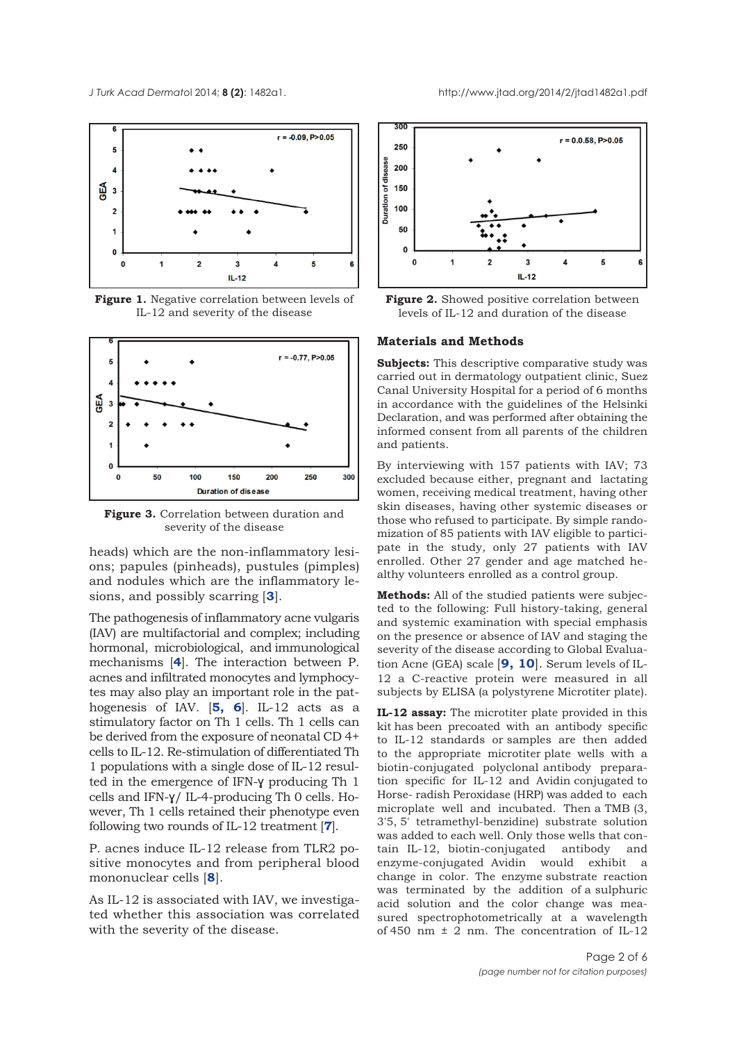

**Figure 1.** Negative correlation between levels of IL-12 and severity of the disease



**Figure 3.** Correlation between duration and severity of the disease

heads) which are the non-inflammatory lesions; papules (pinheads), pustules (pimples) and nodules which are the inflammatory lesions, and possibly scarring [**3**].

The pathogenesis of inflammatory acne vulgaris (IAV) are multifactorial and complex; including hormonal, microbiological, and immunological mechanisms [**4**]. The interaction between P. acnes and infiltrated monocytes and lymphocytes may also play an important role in the pathogenesis of IAV. [**5, 6**]. IL-12 acts as a stimulatory factor on Th 1 cells. Th 1 cells can be derived from the exposure of neonatal CD 4+ cells to IL-12. Re-stimulation of differentiated Th 1 populations with a single dose of IL-12 resulted in the emergence of IFN-ɣ producing Th 1 cells and IFN-ɣ/ IL-4-producing Th 0 cells. However, Th 1 cells retained their phenotype even following two rounds of IL-12 treatment [**7**].

P. acnes induce IL-12 release from TLR2 positive monocytes and from peripheral blood mononuclear cells [**8**].

As IL-12 is associated with IAV, we investigated whether this association was correlated with the severity of the disease.





#### **Materials and Methods**

**Subjects:** This descriptive comparative study was carried out in dermatology outpatient clinic, Suez Canal University Hospital for a period of 6 months in accordance with the guidelines of the Helsinki Declaration, and was performed after obtaining the informed consent from all parents of the children and patients.

By interviewing with 157 patients with IAV; 73 excluded because either, pregnant and lactating women, receiving medical treatment, having other skin diseases, having other systemic diseases or those who refused to participate. By simple randomization of 85 patients with IAV eligible to participate in the study, only 27 patients with IAV enrolled. Other 27 gender and age matched healthy volunteers enrolled as a control group.

**Methods:** All of the studied patients were subjected to the following: Full history-taking, general and systemic examination with special emphasis on the presence or absence of IAV and staging the severity of the disease according to Global Evaluation Acne (GEA) scale [**9, 10**]. Serum levels of IL-12 a C-reactive protein were measured in all subjects by ELISA (a polystyrene Microtiter plate).

**IL-12 assay:** The microtiter plate provided in this kit has been precoated with an antibody specific to IL-12 standards or samples are then added to the appropriate microtiter plate wells with a biotin-conjugated polyclonal antibody preparation specific for IL-12 and Avidin conjugated to Horse- radish Peroxidase (HRP) was added to each microplate well and incubated. Then a TMB (3, 3'5, 5' tetramethyl-benzidine) substrate solution was added to each well. Only those wells that contain IL-12, biotin-conjugated antibody and enzyme-conjugated Avidin would exhibit a change in color. The enzyme substrate reaction was terminated by the addition of a sulphuric acid solution and the color change was measured spectrophotometrically at a wavelength of 450 nm  $\pm$  2 nm. The concentration of IL-12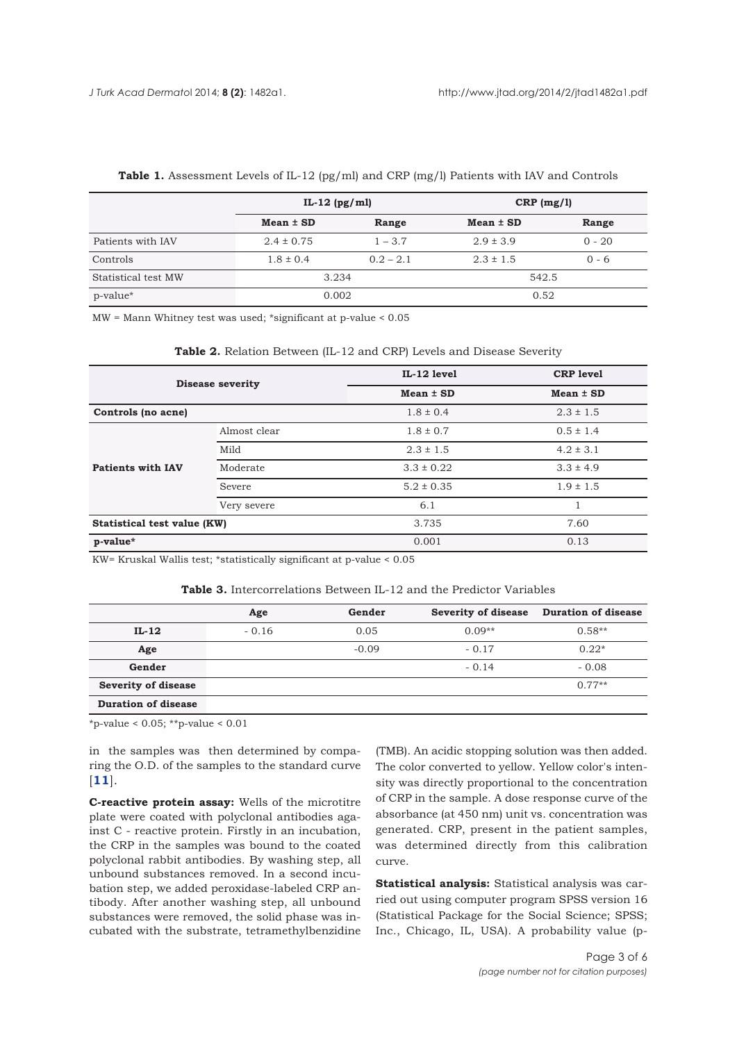|                     | IL-12 $(pg/ml)$ |             | $CRP$ (mg/l)  |          |
|---------------------|-----------------|-------------|---------------|----------|
|                     | $Mean \pm SD$   | Range       | $Mean \pm SD$ | Range    |
| Patients with IAV   | $2.4 \pm 0.75$  | $1 - 3.7$   | $2.9 \pm 3.9$ | $0 - 20$ |
| Controls            | $1.8 \pm 0.4$   | $0.2 - 2.1$ | $2.3 \pm 1.5$ | $0 - 6$  |
| Statistical test MW | 3.234           |             | 542.5         |          |
| p-value*            | 0.002           |             | 0.52          |          |

#### **Table 1.** Assessment Levels of IL-12 (pg/ml) and CRP (mg/l) Patients with IAV and Controls

MW = Mann Whitney test was used; \*significant at p-value < 0.05

| Table 2. Relation Between (IL-12 and CRP) Levels and Disease Severity |  |
|-----------------------------------------------------------------------|--|
|-----------------------------------------------------------------------|--|

| <b>Disease severity</b>     |              | IL-12 level    | <b>CRP</b> level |
|-----------------------------|--------------|----------------|------------------|
|                             |              | $Mean \pm SD$  | $Mean \pm SD$    |
| Controls (no acne)          |              | $1.8 \pm 0.4$  | $2.3 \pm 1.5$    |
| <b>Patients with IAV</b>    | Almost clear | $1.8 \pm 0.7$  | $0.5 \pm 1.4$    |
|                             | Mild         | $2.3 \pm 1.5$  | $4.2 \pm 3.1$    |
|                             | Moderate     | $3.3 \pm 0.22$ | $3.3 \pm 4.9$    |
|                             | Severe       | $5.2 \pm 0.35$ | $1.9 \pm 1.5$    |
|                             | Very severe  | 6.1            |                  |
| Statistical test value (KW) |              | 3.735          | 7.60             |
| p-value*                    |              | 0.001          | 0.13             |

KW= Kruskal Wallis test; \*statistically significant at p-value < 0.05

#### **Table 3.** Intercorrelations Between IL-12 and the Predictor Variables

|                            | Age     | Gender  |          | Severity of disease Duration of disease |
|----------------------------|---------|---------|----------|-----------------------------------------|
| $IL-12$                    | $-0.16$ | 0.05    | $0.09**$ | $0.58**$                                |
| Age                        |         | $-0.09$ | $-0.17$  | $0.22*$                                 |
| Gender                     |         |         | $-0.14$  | $-0.08$                                 |
| Severity of disease        |         |         |          | $0.77**$                                |
| <b>Duration of disease</b> |         |         |          |                                         |

\*p-value < 0.05; \*\*p-value < 0.01

in the samples was then determined by comparing the O.D. of the samples to the standard curve [**11**].

**C-reactive protein assay:** Wells of the microtitre plate were coated with polyclonal antibodies against C - reactive protein. Firstly in an incubation, the CRP in the samples was bound to the coated polyclonal rabbit antibodies. By washing step, all unbound substances removed. In a second incubation step, we added peroxidase-labeled CRP antibody. After another washing step, all unbound substances were removed, the solid phase was incubated with the substrate, tetramethylbenzidine

(TMB). An acidic stopping solution was then added. The color converted to yellow. Yellow color's intensity was directly proportional to the concentration of CRP in the sample. A dose response curve of the absorbance (at 450 nm) unit vs. concentration was generated. CRP, present in the patient samples, was determined directly from this calibration curve.

**Statistical analysis:** Statistical analysis was carried out using computer program SPSS version 16 (Statistical Package for the Social Science; SPSS; Inc., Chicago, IL, USA). A probability value (p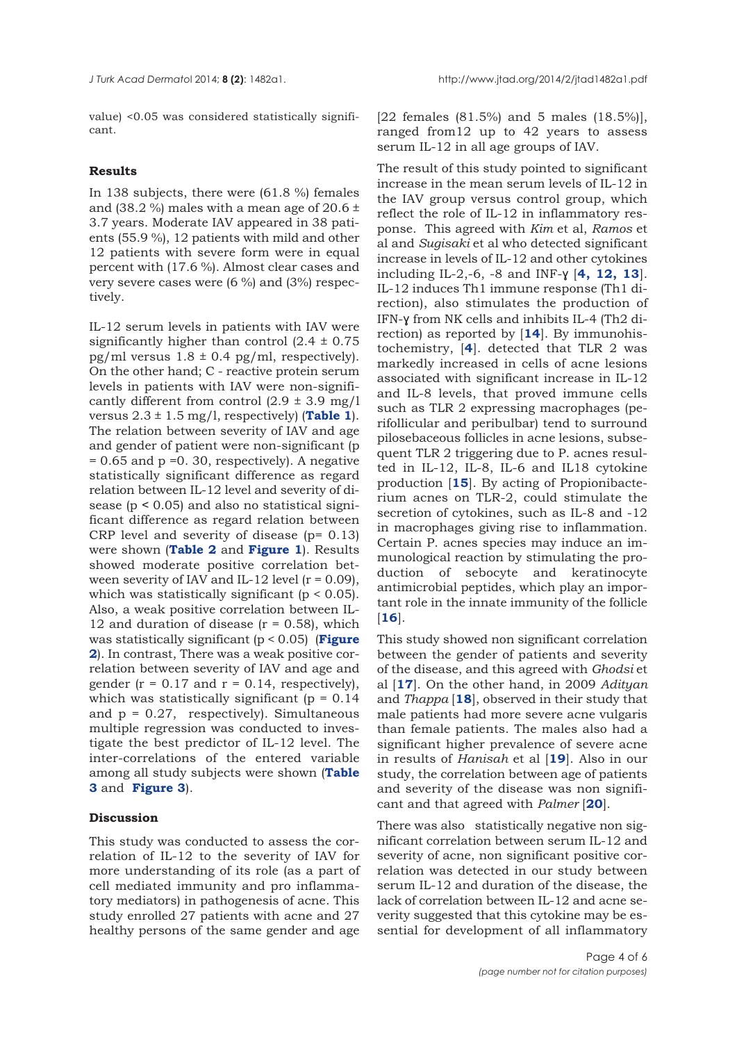value) <0.05 was considered statistically significant.

# **Results**

In 138 subjects, there were (61.8 %) females and (38.2 %) males with a mean age of 20.6  $\pm$ 3.7 years. Moderate IAV appeared in 38 patients (55.9 %), 12 patients with mild and other 12 patients with severe form were in equal percent with (17.6 %). Almost clear cases and very severe cases were (6 %) and (3%) respectively.

IL-12 serum levels in patients with IAV were significantly higher than control  $(2.4 \pm 0.75)$ pg/ml versus  $1.8 \pm 0.4$  pg/ml, respectively). On the other hand; C - reactive protein serum levels in patients with IAV were non-significantly different from control  $(2.9 \pm 3.9 \text{ mg}/1)$ versus  $2.3 \pm 1.5$  mg/l, respectively) (**Table 1**). The relation between severity of IAV and age and gender of patient were non-significant (p  $= 0.65$  and  $p = 0.30$ , respectively). A negative statistically significant difference as regard relation between IL-12 level and severity of disease (p ˂ 0.05) and also no statistical significant difference as regard relation between CRP level and severity of disease (p= 0.13) were shown (**Table 2** and **Figure 1**). Results showed moderate positive correlation between severity of IAV and IL-12 level  $(r = 0.09)$ . which was statistically significant  $(p < 0.05)$ . Also, a weak positive correlation between IL-12 and duration of disease  $(r = 0.58)$ , which was statistically significant (p < 0.05) (**Figure 2**). In contrast, There was a weak positive correlation between severity of IAV and age and gender ( $r = 0.17$  and  $r = 0.14$ , respectively), which was statistically significant ( $p = 0.14$ ) and  $p = 0.27$ , respectively). Simultaneous multiple regression was conducted to investigate the best predictor of IL-12 level. The inter-correlations of the entered variable among all study subjects were shown (**Table 3** and **Figure 3**).

# **Discussion**

This study was conducted to assess the correlation of IL-12 to the severity of IAV for more understanding of its role (as a part of cell mediated immunity and pro inflammatory mediators) in pathogenesis of acne. This study enrolled 27 patients with acne and 27 healthy persons of the same gender and age

[22 females (81.5%) and 5 males (18.5%)], ranged from12 up to 42 years to assess serum IL-12 in all age groups of IAV.

The result of this study pointed to significant increase in the mean serum levels of IL-12 in the IAV group versus control group, which reflect the role of IL-12 in inflammatory response. This agreed with *Kim* et al, *Ramos* et al and *Sugisaki* et al who detected significant increase in levels of IL-12 and other cytokines including IL-2,-6, -8 and INF-ɣ [**4, 12, 13**]. IL-12 induces Th1 immune response (Th1 direction), also stimulates the production of IFN-ɣ from NK cells and inhibits IL-4 (Th2 direction) as reported by [**14**]. By immunohistochemistry, [**4**]. detected that TLR 2 was markedly increased in cells of acne lesions associated with significant increase in IL-12 and IL-8 levels, that proved immune cells such as TLR 2 expressing macrophages (perifollicular and peribulbar) tend to surround pilosebaceous follicles in acne lesions, subsequent TLR 2 triggering due to P. acnes resulted in IL-12, IL-8, IL-6 and IL18 cytokine production [**15**]. By acting of Propionibacterium acnes on TLR-2, could stimulate the secretion of cytokines, such as IL-8 and -12 in macrophages giving rise to inflammation. Certain P. acnes species may induce an immunological reaction by stimulating the production of sebocyte and keratinocyte antimicrobial peptides, which play an important role in the innate immunity of the follicle [**16**].

This study showed non significant correlation between the gender of patients and severity of the disease, and this agreed with *Ghodsi* et al [**17**]. On the other hand, in 2009 *Adityan* and *Thappa* [**18**], observed in their study that male patients had more severe acne vulgaris than female patients. The males also had a significant higher prevalence of severe acne in results of *Hanisah* et al [**19**]. Also in our study, the correlation between age of patients and severity of the disease was non significant and that agreed with *Palmer* [**20**].

There was also statistically negative non significant correlation between serum IL-12 and severity of acne, non significant positive correlation was detected in our study between serum IL-12 and duration of the disease, the lack of correlation between IL-12 and acne severity suggested that this cytokine may be essential for development of all inflammatory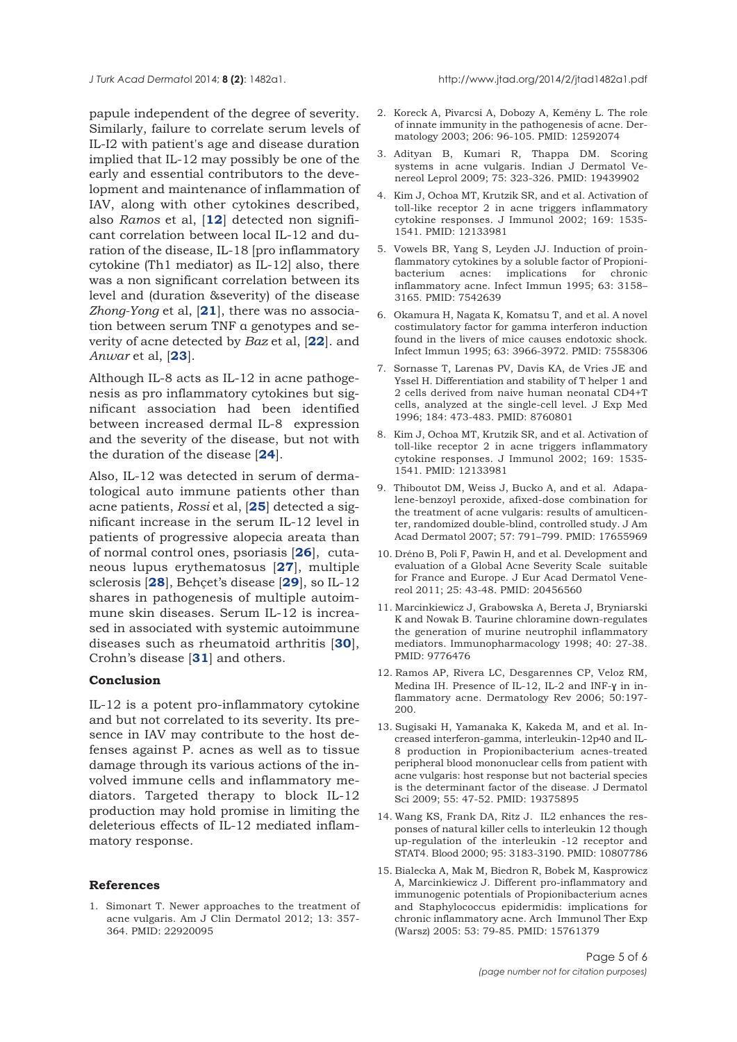papule independent of the degree of severity. Similarly, failure to correlate serum levels of IL-I2 with patient's age and disease duration implied that IL-12 may possibly be one of the early and essential contributors to the development and maintenance of inflammation of IAV, along with other cytokines described, also *Ramos* et al, [**12**] detected non significant correlation between local IL-12 and duration of the disease, IL-18 [pro inflammatory cytokine (Th1 mediator) as IL-12] also, there was a non significant correlation between its level and (duration &severity) of the disease *Zhong-Yong* et al, [**21**], there was no association between serum TNF α genotypes and severity of acne detected by *Baz* et al, [**22**]. and *Anwar* et al, [**23**].

Although IL-8 acts as IL-12 in acne pathogenesis as pro inflammatory cytokines but significant association had been identified between increased dermal IL-8 expression and the severity of the disease, but not with the duration of the disease [**24**].

Also, IL-12 was detected in serum of dermatological auto immune patients other than acne patients, *Rossi* et al, [**25**] detected a significant increase in the serum IL-12 level in patients of progressive alopecia areata than of normal control ones, psoriasis [**26**], cutaneous lupus erythematosus [**27**], multiple sclerosis [**28**], Behçet's disease [**29**], so IL-12 shares in pathogenesis of multiple autoimmune skin diseases. Serum IL-12 is increased in associated with systemic autoimmune diseases such as rheumatoid arthritis [**30**], Crohn's disease [**31**] and others.

## **Conclusion**

IL-12 is a potent pro-inflammatory cytokine and but not correlated to its severity. Its presence in IAV may contribute to the host defenses against P. acnes as well as to tissue damage through its various actions of the involved immune cells and inflammatory mediators. Targeted therapy to block IL-12 production may hold promise in limiting the deleterious effects of IL-12 mediated inflammatory response.

## **References**

1. Simonart T. Newer approaches to the treatment of acne vulgaris. Am J Clin Dermatol 2012; 13: 357- 364. PMID: 22920095

- 2. Koreck A, Pivarcsi A, Dobozy A, Kemény L. The role of innate immunity in the pathogenesis of acne. Dermatology 2003; 206: 96-105. PMID: 12592074
- 3. Adityan B, Kumari R, Thappa DM. Scoring systems in acne vulgaris. Indian J Dermatol Venereol Leprol 2009; 75: 323-326. PMID: 19439902
- 4. Kim J, Ochoa MT, Krutzik SR, and et al. Activation of toll-like receptor 2 in acne triggers inflammatory cytokine responses. J Immunol 2002; 169: 1535- 1541. PMID: 12133981
- 5. Vowels BR, Yang S, Leyden JJ. Induction of proinflammatory cytokines by a soluble factor of Propionibacterium acnes: implications for chronic inflammatory acne. Infect Immun 1995; 63: 3158– 3165. PMID: 7542639
- 6. Okamura H, Nagata K, Komatsu T, and et al. A novel costimulatory factor for gamma interferon induction found in the livers of mice causes endotoxic shock. Infect Immun 1995; 63: 3966-3972. PMID: 7558306
- 7. Sornasse T, Larenas PV, Davis KA, de Vries JE and Yssel H. Differentiation and stability of T helper 1 and 2 cells derived from naive human neonatal CD4+T cells, analyzed at the single-cell level. J Exp Med 1996; 184: 473-483. PMID: 8760801
- 8. Kim J, Ochoa MT, Krutzik SR, and et al. Activation of toll-like receptor 2 in acne triggers inflammatory cytokine responses. J Immunol 2002; 169: 1535- 1541. PMID: 12133981
- 9. Thiboutot DM, Weiss J, Bucko A, and et al. Adapalene-benzoyl peroxide, afixed-dose combination for the treatment of acne vulgaris: results of amulticenter, randomized double-blind, controlled study. J Am Acad Dermatol 2007; 57: 791–799. PMID: 17655969
- 10. Dréno B, Poli F, Pawin H, and et al. Development and evaluation of a Global Acne Severity Scale suitable for France and Europe. J Eur Acad Dermatol Venereol 2011; 25: 43-48. PMID: 20456560
- 11. Marcinkiewicz J, Grabowska A, Bereta J, Bryniarski K and Nowak B. Taurine chloramine down-regulates the generation of murine neutrophil inflammatory mediators. Immunopharmacology 1998; 40: 27-38. PMID: 9776476
- 12. Ramos AP, Rivera LC, Desgarennes CP, Veloz RM, Medina IH. Presence of IL-12, IL-2 and INF-ɣ in inflammatory acne. Dermatology Rev 2006; 50:197- 200.
- 13. Sugisaki H, Yamanaka K, Kakeda M, and et al. Increased interferon-gamma, interleukin-12p40 and IL-8 production in Propionibacterium acnes-treated peripheral blood mononuclear cells from patient with acne vulgaris: host response but not bacterial species is the determinant factor of the disease. J Dermatol Sci 2009; 55: 47-52. PMID: 19375895
- 14. Wang KS, Frank DA, Ritz J. IL2 enhances the responses of natural killer cells to interleukin 12 though up-regulation of the interleukin -12 receptor and STAT4. Blood 2000; 95: 3183-3190. PMID: 10807786
- 15. Bialecka A, Mak M, Biedron R, Bobek M, Kasprowicz A, Marcinkiewicz J. Different pro-inflammatory and immunogenic potentials of Propionibacterium acnes and Staphylococcus epidermidis: implications for chronic inflammatory acne. Arch Immunol Ther Exp (Warsz) 2005: 53: 79-85. PMID: 15761379